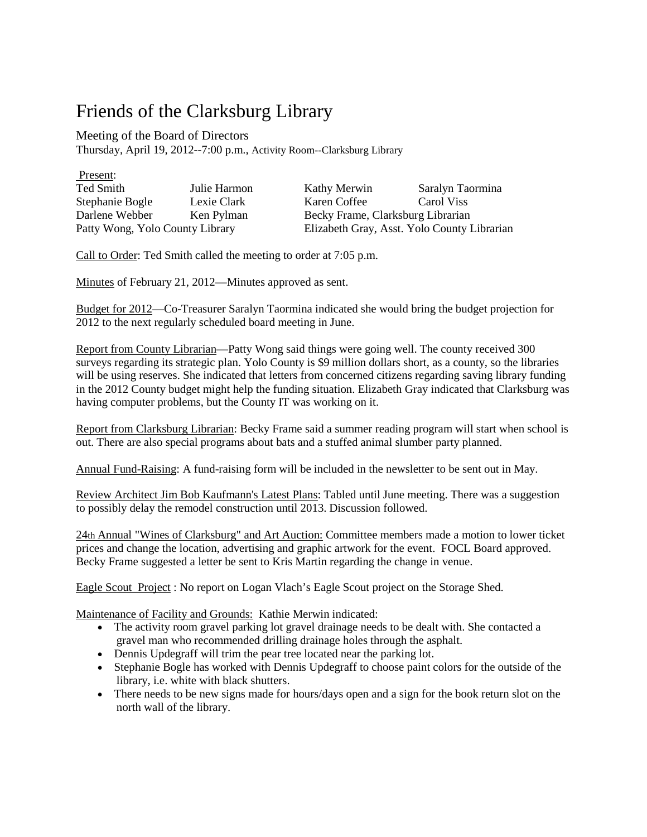## Friends of the Clarksburg Library

Meeting of the Board of Directors

Thursday, April 19, 2012--7:00 p.m., Activity Room--Clarksburg Library

| Present:                        |              |                                             |                  |
|---------------------------------|--------------|---------------------------------------------|------------------|
| Ted Smith                       | Julie Harmon | Kathy Merwin                                | Saralyn Taormina |
| Stephanie Bogle                 | Lexie Clark  | Karen Coffee                                | Carol Viss       |
| Darlene Webber                  | Ken Pylman   | Becky Frame, Clarksburg Librarian           |                  |
| Patty Wong, Yolo County Library |              | Elizabeth Gray, Asst. Yolo County Librarian |                  |

Call to Order: Ted Smith called the meeting to order at 7:05 p.m.

Minutes of February 21, 2012—Minutes approved as sent.

Budget for 2012—Co-Treasurer Saralyn Taormina indicated she would bring the budget projection for 2012 to the next regularly scheduled board meeting in June.

Report from County Librarian—Patty Wong said things were going well. The county received 300 surveys regarding its strategic plan. Yolo County is \$9 million dollars short, as a county, so the libraries will be using reserves. She indicated that letters from concerned citizens regarding saving library funding in the 2012 County budget might help the funding situation. Elizabeth Gray indicated that Clarksburg was having computer problems, but the County IT was working on it.

Report from Clarksburg Librarian: Becky Frame said a summer reading program will start when school is out. There are also special programs about bats and a stuffed animal slumber party planned.

Annual Fund-Raising: A fund-raising form will be included in the newsletter to be sent out in May.

Review Architect Jim Bob Kaufmann's Latest Plans: Tabled until June meeting. There was a suggestion to possibly delay the remodel construction until 2013. Discussion followed.

24th Annual "Wines of Clarksburg" and Art Auction: Committee members made a motion to lower ticket prices and change the location, advertising and graphic artwork for the event. FOCL Board approved. Becky Frame suggested a letter be sent to Kris Martin regarding the change in venue.

Eagle Scout Project : No report on Logan Vlach's Eagle Scout project on the Storage Shed.

Maintenance of Facility and Grounds: Kathie Merwin indicated:

- The activity room gravel parking lot gravel drainage needs to be dealt with. She contacted a gravel man who recommended drilling drainage holes through the asphalt.
- Dennis Updegraff will trim the pear tree located near the parking lot.
- Stephanie Bogle has worked with Dennis Updegraff to choose paint colors for the outside of the library, i.e. white with black shutters.
- There needs to be new signs made for hours/days open and a sign for the book return slot on the north wall of the library.